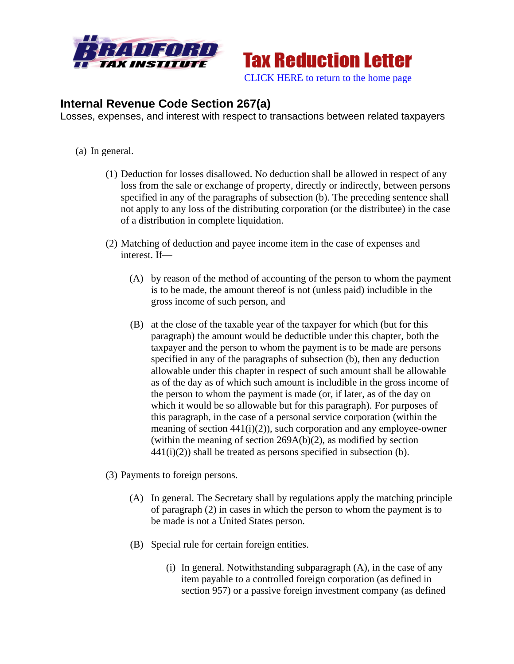

**Tax Reduction Letter** [CLICK HERE to return to the home page](http://www.bradfordtaxinstitute.com/) 

## **Internal Revenue Code Section 267(a)**

Losses, expenses, and interest with respect to transactions between related taxpayers

- (a) In general.
	- (1) Deduction for losses disallowed. No deduction shall be allowed in respect of any loss from the sale or exchange of property, directly or indirectly, between persons specified in any of the paragraphs of subsection (b). The preceding sentence shall not apply to any loss of the distributing corporation (or the distributee) in the case of a distribution in complete liquidation.
	- (2) Matching of deduction and payee income item in the case of expenses and interest. If—
		- (A) by reason of the method of accounting of the person to whom the payment is to be made, the amount thereof is not (unless paid) includible in the gross income of such person, and
		- (B) at the close of the taxable year of the taxpayer for which (but for this paragraph) the amount would be deductible under this chapter, both the taxpayer and the person to whom the payment is to be made are persons specified in any of the paragraphs of subsection (b), then any deduction allowable under this chapter in respect of such amount shall be allowable as of the day as of which such amount is includible in the gross income of the person to whom the payment is made (or, if later, as of the day on which it would be so allowable but for this paragraph). For purposes of this paragraph, in the case of a personal service corporation (within the meaning of section  $441(i)(2)$ , such corporation and any employee-owner (within the meaning of section 269A(b)(2), as modified by section  $441(i)(2)$ ) shall be treated as persons specified in subsection (b).

(3) Payments to foreign persons.

- (A) In general. The Secretary shall by regulations apply the matching principle of paragraph (2) in cases in which the person to whom the payment is to be made is not a United States person.
- (B) Special rule for certain foreign entities.
	- (i) In general. Notwithstanding subparagraph (A), in the case of any item payable to a controlled foreign corporation (as defined in section 957) or a passive foreign investment company (as defined